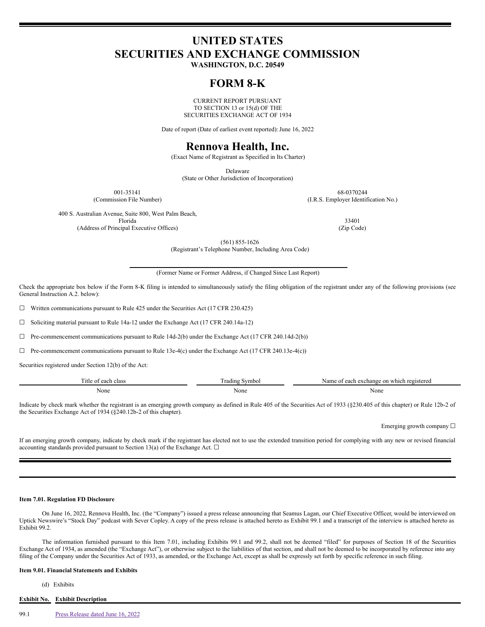# **UNITED STATES SECURITIES AND EXCHANGE COMMISSION**

**WASHINGTON, D.C. 20549**

# **FORM 8-K**

CURRENT REPORT PURSUANT TO SECTION 13 or 15(d) OF THE SECURITIES EXCHANGE ACT OF 1934

Date of report (Date of earliest event reported): June 16, 2022

# **Rennova Health, Inc.**

(Exact Name of Registrant as Specified in Its Charter)

Delaware

(State or Other Jurisdiction of Incorporation)

001-35141 68-0370244 (Commission File Number) (I.R.S. Employer Identification No.)

400 S. Australian Avenue, Suite 800, West Palm Beach, Florida 33401

(Address of Principal Executive Offices) (Zip Code)

(561) 855-1626

(Registrant's Telephone Number, Including Area Code)

(Former Name or Former Address, if Changed Since Last Report)

Check the appropriate box below if the Form 8-K filing is intended to simultaneously satisfy the filing obligation of the registrant under any of the following provisions (see General Instruction A.2. below):

☐ Written communications pursuant to Rule 425 under the Securities Act (17 CFR 230.425)

☐ Soliciting material pursuant to Rule 14a-12 under the Exchange Act (17 CFR 240.14a-12)

 $\Box$  Pre-commencement communications pursuant to Rule 14d-2(b) under the Exchange Act (17 CFR 240.14d-2(b))

 $\Box$  Pre-commencement communications pursuant to Rule 13e-4(c) under the Exchange Act (17 CFR 240.13e-4(c))

Securities registered under Section 12(b) of the Act:

| --<br>itle o<br>each<br>class | $\sim$ vmbol<br>radin | e on which registered<br>each<br>Name<br>. exchange<br>∴ ∩† |
|-------------------------------|-----------------------|-------------------------------------------------------------|
| None                          | None                  | None                                                        |

Indicate by check mark whether the registrant is an emerging growth company as defined in Rule 405 of the Securities Act of 1933 (§230.405 of this chapter) or Rule 12b-2 of the Securities Exchange Act of 1934 (§240.12b-2 of this chapter).

Emerging growth company ☐

If an emerging growth company, indicate by check mark if the registrant has elected not to use the extended transition period for complying with any new or revised financial accounting standards provided pursuant to Section 13(a) of the Exchange Act.  $\Box$ 

## **Item 7.01. Regulation FD Disclosure**

On June 16, 2022, Rennova Health, Inc. (the "Company") issued a press release announcing that Seamus Lagan, our Chief Executive Officer, would be interviewed on Uptick Newswire's "Stock Day" podcast with Sever Copley. A copy of the press release is attached hereto as Exhibit 99.1 and a transcript of the interview is attached hereto as Exhibit 99.2.

The information furnished pursuant to this Item 7.01, including Exhibits 99.1 and 99.2, shall not be deemed "filed" for purposes of Section 18 of the Securities Exchange Act of 1934, as amended (the "Exchange Act"), or otherwise subject to the liabilities of that section, and shall not be deemed to be incorporated by reference into any filing of the Company under the Securities Act of 1933, as amended, or the Exchange Act, except as shall be expressly set forth by specific reference in such filing.

# **Item 9.01. Financial Statements and Exhibits**

(d) Exhibits

# **Exhibit No. Exhibit Description**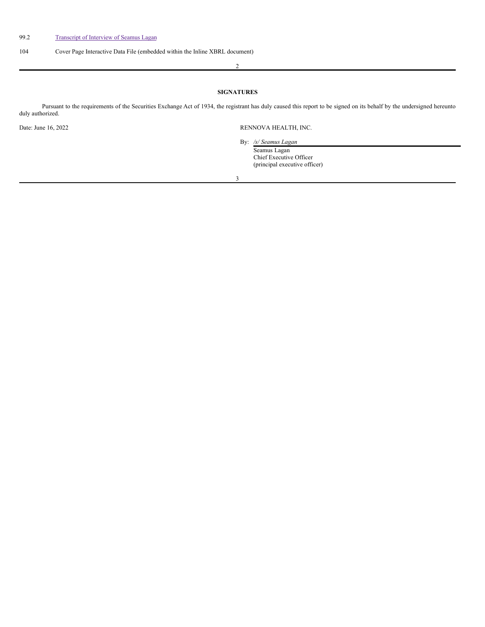# 104 Cover Page Interactive Data File (embedded within the Inline XBRL document)

2

# **SIGNATURES**

Pursuant to the requirements of the Securities Exchange Act of 1934, the registrant has duly caused this report to be signed on its behalf by the undersigned hereunto duly authorized.

3

Date: June 16, 2022 RENNOVA HEALTH, INC.

By: */s/ Seamus Lagan* Seamus Lagan Chief Executive Officer (principal executive officer)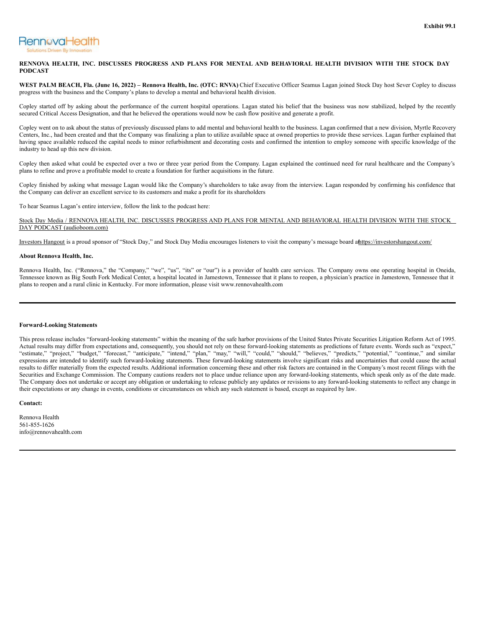<span id="page-2-0"></span>

# RENNOVA HEALTH, INC. DISCUSSES PROGRESS AND PLANS FOR MENTAL AND BEHAVIORAL HEALTH DIVISION WITH THE STOCK DAY **PODCAST**

WEST PALM BEACH, Fla. (June 16, 2022) – Rennova Health, Inc. (OTC: RNVA) Chief Executive Officer Seamus Lagan joined Stock Day host Sever Copley to discuss progress with the business and the Company's plans to develop a mental and behavioral health division.

Copley started off by asking about the performance of the current hospital operations. Lagan stated his belief that the business was now stabilized, helped by the recently secured Critical Access Designation, and that he believed the operations would now be cash flow positive and generate a profit.

Copley went on to ask about the status of previously discussed plans to add mental and behavioral health to the business. Lagan confirmed that a new division, Myrtle Recovery Centers, Inc., had been created and that the Company was finalizing a plan to utilize available space at owned properties to provide these services. Lagan further explained that having space available reduced the capital needs to minor refurbishment and decorating costs and confirmed the intention to employ someone with specific knowledge of the industry to head up this new division.

Copley then asked what could be expected over a two or three year period from the Company. Lagan explained the continued need for rural healthcare and the Company's plans to refine and prove a profitable model to create a foundation for further acquisitions in the future.

Copley finished by asking what message Lagan would like the Company's shareholders to take away from the interview. Lagan responded by confirming his confidence that the Company can deliver an excellent service to its customers and make a profit for its shareholders

To hear Seamus Lagan's entire interview, follow the link to the podcast here:

Stock Day Media / RENNOVA HEALTH, INC. DISCUSSES PROGRESS AND PLANS FOR MENTAL AND BEHAVIORAL HEALTH DIVISION WITH THE STOCK DAY PODCAST (audioboom.com)

Investors Hangout is a proud sponsor of "Stock Day," and Stock Day Media encourages listeners to visit the company's message board athttps://investorshangout.com/

## **About Rennova Health, Inc.**

Rennova Health, Inc. ("Rennova," the "Company," "we", "us", "its" or "our") is a provider of health care services. The Company owns one operating hospital in Oneida, Tennessee known as Big South Fork Medical Center, a hospital located in Jamestown, Tennessee that it plans to reopen, a physician's practice in Jamestown, Tennessee that it plans to reopen and a rural clinic in Kentucky. For more information, please visit www.rennovahealth.com

### **Forward-Looking Statements**

This press release includes "forward-looking statements" within the meaning of the safe harbor provisions of the United States Private Securities Litigation Reform Act of 1995. Actual results may differ from expectations and, consequently, you should not rely on these forward-looking statements as predictions of future events. Words such as "expect," "estimate," "project," "budget," "forecast," "anticipate," "intend," "plan," "may," "will," "could," "should," "believes," "predicts," "potential," "continue," and similar expressions are intended to identify such forward-looking statements. These forward-looking statements involve significant risks and uncertainties that could cause the actual results to differ materially from the expected results. Additional information concerning these and other risk factors are contained in the Company's most recent filings with the Securities and Exchange Commission. The Company cautions readers not to place undue reliance upon any forward-looking statements, which speak only as of the date made. The Company does not undertake or accept any obligation or undertaking to release publicly any updates or revisions to any forward-looking statements to reflect any change in their expectations or any change in events, conditions or circumstances on which any such statement is based, except as required by law.

## **Contact:**

Rennova Health 561-855-1626 info@rennovahealth.com